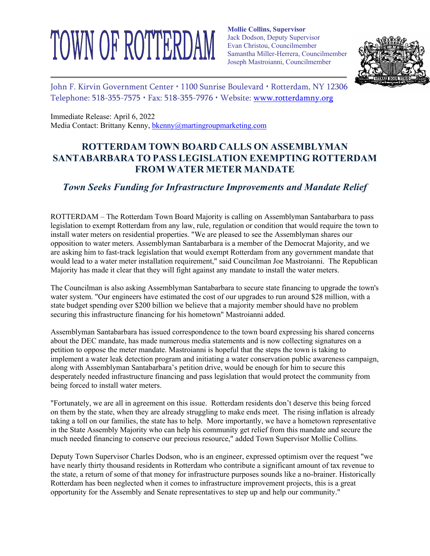## TOWN OF ROTTERDAM

**Mollie Collins, Supervisor** Jack Dodson, Deputy Supervisor Evan Christou, Councilmember Samantha Miller-Herrera, Councilmember Joseph Mastroianni, Councilmember



John F. Kirvin Government Center · 1100 Sunrise Boulevard · Rotterdam, NY 12306 Telephone:  $518-355-7575 \cdot$  Fax:  $518-355-7976 \cdot$  Website: www.rotterdamny.org

Immediate Release: April 6, 2022 Media Contact: Brittany Kenny, bkenny@martingroupmarketing.com

## **ROTTERDAM TOWN BOARD CALLS ON ASSEMBLYMAN SANTABARBARA TO PASS LEGISLATION EXEMPTING ROTTERDAM FROM WATER METER MANDATE**

## *Town Seeks Funding for Infrastructure Improvements and Mandate Relief*

ROTTERDAM – The Rotterdam Town Board Majority is calling on Assemblyman Santabarbara to pass legislation to exempt Rotterdam from any law, rule, regulation or condition that would require the town to install water meters on residential properties. "We are pleased to see the Assemblyman shares our opposition to water meters. Assemblyman Santabarbara is a member of the Democrat Majority, and we are asking him to fast-track legislation that would exempt Rotterdam from any government mandate that would lead to a water meter installation requirement," said Councilman Joe Mastroianni. The Republican Majority has made it clear that they will fight against any mandate to install the water meters.

The Councilman is also asking Assemblyman Santabarbara to secure state financing to upgrade the town's water system. "Our engineers have estimated the cost of our upgrades to run around \$28 million, with a state budget spending over \$200 billion we believe that a majority member should have no problem securing this infrastructure financing for his hometown" Mastroianni added.

Assemblyman Santabarbara has issued correspondence to the town board expressing his shared concerns about the DEC mandate, has made numerous media statements and is now collecting signatures on a petition to oppose the meter mandate. Mastroianni is hopeful that the steps the town is taking to implement a water leak detection program and initiating a water conservation public awareness campaign, along with Assemblyman Santabarbara's petition drive, would be enough for him to secure this desperately needed infrastructure financing and pass legislation that would protect the community from being forced to install water meters.

"Fortunately, we are all in agreement on this issue. Rotterdam residents don't deserve this being forced on them by the state, when they are already struggling to make ends meet. The rising inflation is already taking a toll on our families, the state has to help. More importantly, we have a hometown representative in the State Assembly Majority who can help his community get relief from this mandate and secure the much needed financing to conserve our precious resource," added Town Supervisor Mollie Collins.

Deputy Town Supervisor Charles Dodson, who is an engineer, expressed optimism over the request "we have nearly thirty thousand residents in Rotterdam who contribute a significant amount of tax revenue to the state, a return of some of that money for infrastructure purposes sounds like a no-brainer. Historically Rotterdam has been neglected when it comes to infrastructure improvement projects, this is a great opportunity for the Assembly and Senate representatives to step up and help our community."